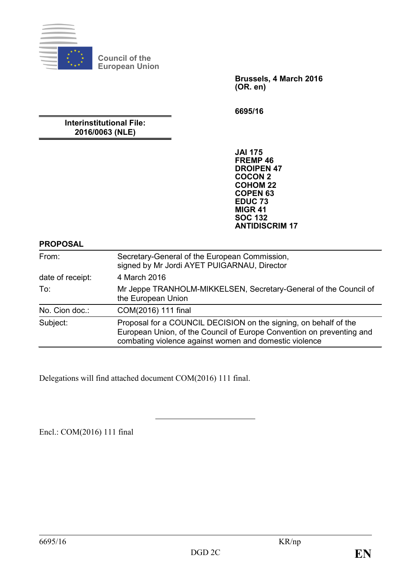

**Council of the European Union**

> **Brussels, 4 March 2016 (OR. en)**

**6695/16**

# **Interinstitutional File: 2016/0063 (NLE)**

**JAI 175 FREMP 46 DROIPEN 47 COCON 2 COHOM 22 COPEN 63 EDUC 73 MIGR 41 SOC 132 ANTIDISCRIM 17**

#### **PROPOSAL**

| From:            | Secretary-General of the European Commission,<br>signed by Mr Jordi AYET PUIGARNAU, Director                                                                                                        |
|------------------|-----------------------------------------------------------------------------------------------------------------------------------------------------------------------------------------------------|
| date of receipt: | 4 March 2016                                                                                                                                                                                        |
| To:              | Mr Jeppe TRANHOLM-MIKKELSEN, Secretary-General of the Council of<br>the European Union                                                                                                              |
| No. Cion doc.:   | COM(2016) 111 final                                                                                                                                                                                 |
| Subject:         | Proposal for a COUNCIL DECISION on the signing, on behalf of the<br>European Union, of the Council of Europe Convention on preventing and<br>combating violence against women and domestic violence |

Delegations will find attached document COM(2016) 111 final.

Encl.: COM(2016) 111 final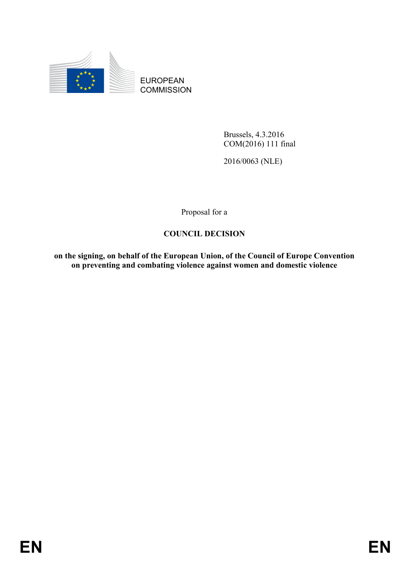

EUROPEAN **COMMISSION** 

> Brussels, 4.3.2016 COM(2016) 111 final

2016/0063 (NLE)

Proposal for a

# **COUNCIL DECISION**

**on the signing, on behalf of the European Union, of the Council of Europe Convention on preventing and combating violence against women and domestic violence**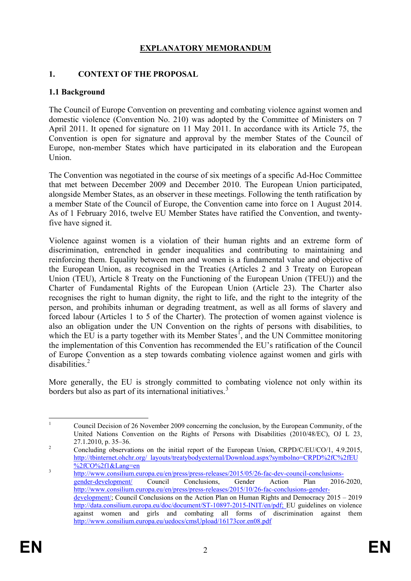# **EXPLANATORY MEMORANDUM**

#### **1. CONTEXT OF THE PROPOSAL**

#### **1.1 Background**

The Council of Europe Convention on preventing and combating violence against women and domestic violence (Convention No. 210) was adopted by the Committee of Ministers on 7 April 2011. It opened for signature on 11 May 2011. In accordance with its Article 75, the Convention is open for signature and approval by the member States of the Council of Europe, non-member States which have participated in its elaboration and the European Union.

The Convention was negotiated in the course of six meetings of a specific Ad-Hoc Committee that met between December 2009 and December 2010. The European Union participated, alongside Member States, as an observer in these meetings. Following the tenth ratification by a member State of the Council of Europe, the Convention came into force on 1 August 2014. As of 1 February 2016, twelve EU Member States have ratified the Convention, and twentyfive have signed it.

Violence against women is a violation of their human rights and an extreme form of discrimination, entrenched in gender inequalities and contributing to maintaining and reinforcing them. Equality between men and women is a fundamental value and objective of the European Union, as recognised in the Treaties (Articles 2 and 3 Treaty on European Union (TEU), Article 8 Treaty on the Functioning of the European Union (TFEU)) and the Charter of Fundamental Rights of the European Union (Article 23). The Charter also recognises the right to human dignity, the right to life, and the right to the integrity of the person, and prohibits inhuman or degrading treatment, as well as all forms of slavery and forced labour (Articles 1 to 5 of the Charter). The protection of women against violence is also an obligation under the UN Convention on the rights of persons with disabilities, to which the EU is a party together with its Member States<sup>[1](#page-2-0)</sup>, and the UN Committee monitoring the implementation of this Convention has recommended the EU's ratification of the Council of Europe Convention as a step towards combating violence against women and girls with disabilities<sup>[2](#page-2-1)</sup>

More generally, the EU is strongly committed to combating violence not only within its borders but also as part of its international initiatives.<sup>[3](#page-2-2)</sup>

<span id="page-2-0"></span><sup>&</sup>lt;sup>1</sup> Council Decision of 26 November 2009 concerning the conclusion, by the European Community, of the United Nations Convention on the Rights of Persons with Disabilities (2010/48/EC), OJ L 23, 27.1.2010, p. 35–36.<br>
<sup>2</sup> Concluding observations on the initial report of the European Union, CRPD/C/EU/CO/1, 4.9.2015,

<span id="page-2-1"></span>[http://tbinternet.ohchr.org/\\_layouts/treatybodyexternal/Download.aspx?symbolno=CRPD%2fC%2fEU](http://tbinternet.ohchr.org/_layouts/treatybodyexternal/Download.aspx?symbolno=CRPD%2fC%2fEU%2fCO%2f1&Lang=en)

<span id="page-2-2"></span><sup>&</sup>lt;sup>3</sup><br>
<u>http://www.consilium.europa.eu/en/press/press-releases/2015/05/26-fac-dev-council-conclusions-</u><br>
gender-development/ Council Conclusions, Gender Action Plan 2016-2020, [gender-development/](http://www.consilium.europa.eu/en/press/press-releases/2015/05/26-fac-dev-council-conclusions-gender-development/) Council Conclusions, Gender Action [http://www.consilium.europa.eu/en/press/press-releases/2015/10/26-fac-conclusions-gender](http://www.consilium.europa.eu/en/press/press-releases/2015/10/26-fac-conclusions-gender-development/)[development/;](http://www.consilium.europa.eu/en/press/press-releases/2015/10/26-fac-conclusions-gender-development/) Council Conclusions on the Action Plan on Human Rights and Democracy 2015 – 2019 [http://data.consilium.europa.eu/doc/document/ST-10897-2015-INIT/en/pdf;](http://data.consilium.europa.eu/doc/document/ST-10897-2015-INIT/en/pdf) EU guidelines on violence against women and girls and combating all forms of discrimination against them <http://www.consilium.europa.eu/uedocs/cmsUpload/16173cor.en08.pdf>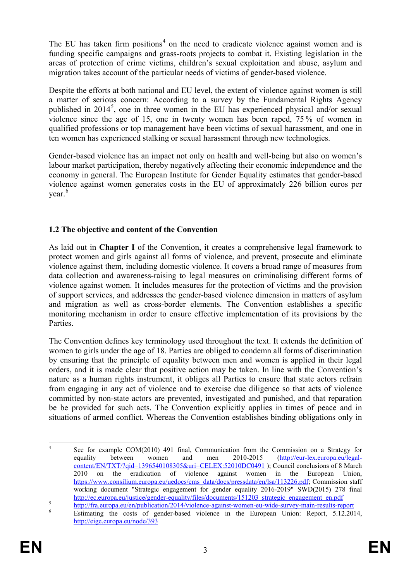The EU has taken firm positions<sup>[4](#page-3-0)</sup> on the need to eradicate violence against women and is funding specific campaigns and grass-roots projects to combat it. Existing legislation in the areas of protection of crime victims, children's sexual exploitation and abuse, asylum and migration takes account of the particular needs of victims of gender-based violence.

Despite the efforts at both national and EU level, the extent of violence against women is still a matter of serious concern: According to a survey by the Fundamental Rights Agency published in 2014<sup>[5](#page-3-1)</sup>, one in three women in the EU has experienced physical and/or sexual violence since the age of 15, one in twenty women has been raped, 75 % of women in qualified professions or top management have been victims of sexual harassment, and one in ten women has experienced stalking or sexual harassment through new technologies.

Gender-based violence has an impact not only on health and well-being but also on women's labour market participation, thereby negatively affecting their economic independence and the economy in general. The European Institute for Gender Equality estimates that gender-based violence against women generates costs in the EU of approximately 226 billion euros per year.<sup>[6](#page-3-2)</sup>

# **1.2 The objective and content of the Convention**

As laid out in **Chapter I** of the Convention, it creates a comprehensive legal framework to protect women and girls against all forms of violence, and prevent, prosecute and eliminate violence against them, including domestic violence. It covers a broad range of measures from data collection and awareness-raising to legal measures on criminalising different forms of violence against women. It includes measures for the protection of victims and the provision of support services, and addresses the gender-based violence dimension in matters of asylum and migration as well as cross-border elements. The Convention establishes a specific monitoring mechanism in order to ensure effective implementation of its provisions by the Parties.

The Convention defines key terminology used throughout the text. It extends the definition of women to girls under the age of 18. Parties are obliged to condemn all forms of discrimination by ensuring that the principle of equality between men and women is applied in their legal orders, and it is made clear that positive action may be taken. In line with the Convention's nature as a human rights instrument, it obliges all Parties to ensure that state actors refrain from engaging in any act of violence and to exercise due diligence so that acts of violence committed by non-state actors are prevented, investigated and punished, and that reparation be be provided for such acts. The Convention explicitly applies in times of peace and in situations of armed conflict. Whereas the Convention establishes binding obligations only in

<span id="page-3-0"></span><sup>&</sup>lt;sup>4</sup> See for example COM(2010) 491 final, Communication from the Commission on a Strategy for equality between women and men 2010-2015 (http://eur-lex.europa.eu/legalequality between women and men 2010-2015 [\(http://eur-lex.europa.eu/legal](http://eur-lex.europa.eu/legal-content/EN/TXT/?qid=1396540108305&uri=CELEX:52010DC0491)[content/EN/TXT/?qid=1396540108305&uri=CELEX:52010DC0491](http://eur-lex.europa.eu/legal-content/EN/TXT/?qid=1396540108305&uri=CELEX:52010DC0491) ); Council conclusions of 8 March 2010 on the eradication of violence against women in the European Union, [https://www.consilium.europa.eu/uedocs/cms\\_data/docs/pressdata/en/lsa/113226.pdf;](https://www.consilium.europa.eu/uedocs/cms_data/docs/pressdata/en/lsa/113226.pdf) Commission staff working document "Strategic engagement for gender equality 2016-2019" SWD(2015) 278 final

[http://ec.europa.eu/justice/gender-equality/files/documents/151203\\_strategic\\_engagement\\_en.pdf](http://ec.europa.eu/justice/gender-equality/files/documents/151203_strategic_engagement_en.pdf)<br> <http://fra.europa.eu/en/publication/2014/violence-against-women-eu-wide-survey-main-results-report><br>
Estimating the costs of ge

<span id="page-3-2"></span><span id="page-3-1"></span><http://eige.europa.eu/node/393>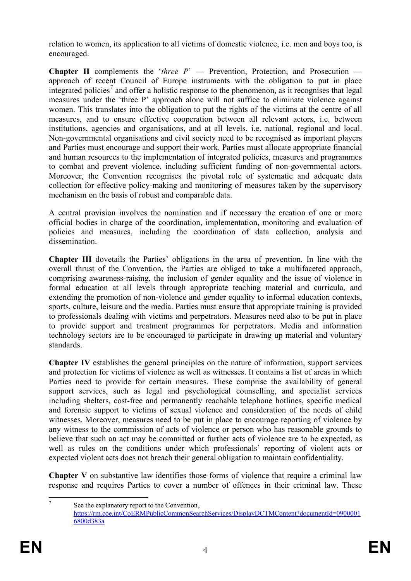relation to women, its application to all victims of domestic violence, i.e. men and boys too, is encouraged.

**Chapter II** complements the '*three P*' — Prevention, Protection, and Prosecution approach of recent Council of Europe instruments with the obligation to put in place integrated policies<sup>[7](#page-4-0)</sup> and offer a holistic response to the phenomenon, as it recognises that legal measures under the 'three P' approach alone will not suffice to eliminate violence against women. This translates into the obligation to put the rights of the victims at the centre of all measures, and to ensure effective cooperation between all relevant actors, i.e. between institutions, agencies and organisations, and at all levels, i.e. national, regional and local. Non-governmental organisations and civil society need to be recognised as important players and Parties must encourage and support their work. Parties must allocate appropriate financial and human resources to the implementation of integrated policies, measures and programmes to combat and prevent violence, including sufficient funding of non-governmental actors. Moreover, the Convention recognises the pivotal role of systematic and adequate data collection for effective policy-making and monitoring of measures taken by the supervisory mechanism on the basis of robust and comparable data.

A central provision involves the nomination and if necessary the creation of one or more official bodies in charge of the coordination, implementation, monitoring and evaluation of policies and measures, including the coordination of data collection, analysis and dissemination.

**Chapter III** dovetails the Parties' obligations in the area of prevention. In line with the overall thrust of the Convention, the Parties are obliged to take a multifaceted approach, comprising awareness-raising, the inclusion of gender equality and the issue of violence in formal education at all levels through appropriate teaching material and curricula, and extending the promotion of non-violence and gender equality to informal education contexts, sports, culture, leisure and the media. Parties must ensure that appropriate training is provided to professionals dealing with victims and perpetrators. Measures need also to be put in place to provide support and treatment programmes for perpetrators. Media and information technology sectors are to be encouraged to participate in drawing up material and voluntary standards.

**Chapter IV** establishes the general principles on the nature of information, support services and protection for victims of violence as well as witnesses. It contains a list of areas in which Parties need to provide for certain measures. These comprise the availability of general support services, such as legal and psychological counselling, and specialist services including shelters, cost-free and permanently reachable telephone hotlines, specific medical and forensic support to victims of sexual violence and consideration of the needs of child witnesses. Moreover, measures need to be put in place to encourage reporting of violence by any witness to the commission of acts of violence or person who has reasonable grounds to believe that such an act may be committed or further acts of violence are to be expected, as well as rules on the conditions under which professionals' reporting of violent acts or expected violent acts does not breach their general obligation to maintain confidentiality.

**Chapter V** on substantive law identifies those forms of violence that require a criminal law response and requires Parties to cover a number of offences in their criminal law. These

<span id="page-4-0"></span>

See the explanatory report to the Convention, [https://rm.coe.int/CoERMPublicCommonSearchServices/DisplayDCTMContent?documentId=0900001](https://rm.coe.int/CoERMPublicCommonSearchServices/DisplayDCTMContent?documentId=09000016800d383a) [6800d383a](https://rm.coe.int/CoERMPublicCommonSearchServices/DisplayDCTMContent?documentId=09000016800d383a)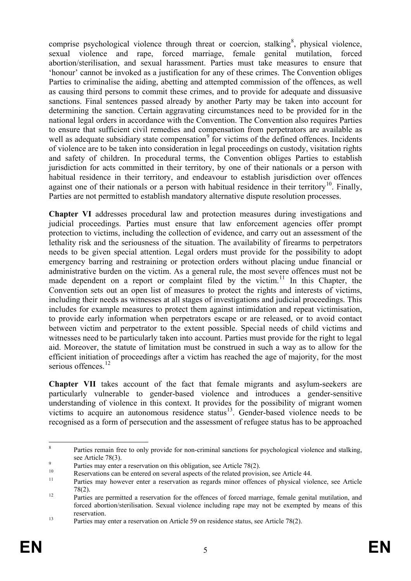comprise psychological violence through threat or coercion, stalking<sup>[8](#page-5-0)</sup>, physical violence, sexual violence and rape, forced marriage, female genital mutilation, forced abortion/sterilisation, and sexual harassment. Parties must take measures to ensure that 'honour' cannot be invoked as a justification for any of these crimes. The Convention obliges Parties to criminalise the aiding, abetting and attempted commission of the offences, as well as causing third persons to commit these crimes, and to provide for adequate and dissuasive sanctions. Final sentences passed already by another Party may be taken into account for determining the sanction. Certain aggravating circumstances need to be provided for in the national legal orders in accordance with the Convention. The Convention also requires Parties to ensure that sufficient civil remedies and compensation from perpetrators are available as well as adequate subsidiary state compensation<sup>[9](#page-5-1)</sup> for victims of the defined offences. Incidents of violence are to be taken into consideration in legal proceedings on custody, visitation rights and safety of children. In procedural terms, the Convention obliges Parties to establish jurisdiction for acts committed in their territory, by one of their nationals or a person with habitual residence in their territory, and endeavour to establish jurisdiction over offences against one of their nationals or a person with habitual residence in their territory<sup>10</sup>. Finally, Parties are not permitted to establish mandatory alternative dispute resolution processes.

**Chapter VI** addresses procedural law and protection measures during investigations and judicial proceedings. Parties must ensure that law enforcement agencies offer prompt protection to victims, including the collection of evidence, and carry out an assessment of the lethality risk and the seriousness of the situation. The availability of firearms to perpetrators needs to be given special attention. Legal orders must provide for the possibility to adopt emergency barring and restraining or protection orders without placing undue financial or administrative burden on the victim. As a general rule, the most severe offences must not be made dependent on a report or complaint filed by the victim.<sup>[11](#page-5-3)</sup> In this Chapter, the Convention sets out an open list of measures to protect the rights and interests of victims, including their needs as witnesses at all stages of investigations and judicial proceedings. This includes for example measures to protect them against intimidation and repeat victimisation, to provide early information when perpetrators escape or are released, or to avoid contact between victim and perpetrator to the extent possible. Special needs of child victims and witnesses need to be particularly taken into account. Parties must provide for the right to legal aid. Moreover, the statute of limitation must be construed in such a way as to allow for the efficient initiation of proceedings after a victim has reached the age of majority, for the most serious offences.<sup>[12](#page-5-4)</sup>

**Chapter VII** takes account of the fact that female migrants and asylum-seekers are particularly vulnerable to gender-based violence and introduces a gender-sensitive understanding of violence in this context. It provides for the possibility of migrant women victims to acquire an autonomous residence status $13$ . Gender-based violence needs to be recognised as a form of persecution and the assessment of refugee status has to be approached

<span id="page-5-0"></span><sup>&</sup>lt;sup>8</sup> Parties remain free to only provide for non-criminal sanctions for psychological violence and stalking, see Article  $78(3)$ .

<span id="page-5-1"></span>Parties may enter a reservation on this obligation, see Article 78(2).<br>
Reservations can be entered on several aspects of the related provision, see Article 44.<br>
Parties may however enter a reservation as regards minor off

<span id="page-5-3"></span><span id="page-5-2"></span> $78(2)$ .<br><sup>12</sup> Parties are permitted a reservation for the offences of forced marriage, female genital mutilation, and

<span id="page-5-4"></span>forced abortion/sterilisation. Sexual violence including rape may not be exempted by means of this reservation.<br>
Parties may enter a reservation on Article 59 on residence status, see Article 78(2).

<span id="page-5-5"></span>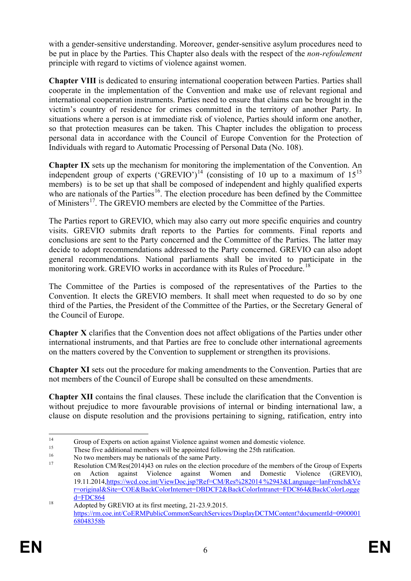with a gender-sensitive understanding. Moreover, gender-sensitive asylum procedures need to be put in place by the Parties. This Chapter also deals with the respect of the *non-refoulement* principle with regard to victims of violence against women.

**Chapter VIII** is dedicated to ensuring international cooperation between Parties. Parties shall cooperate in the implementation of the Convention and make use of relevant regional and international cooperation instruments. Parties need to ensure that claims can be brought in the victim's country of residence for crimes committed in the territory of another Party. In situations where a person is at immediate risk of violence, Parties should inform one another, so that protection measures can be taken. This Chapter includes the obligation to process personal data in accordance with the Council of Europe Convention for the Protection of Individuals with regard to Automatic Processing of Personal Data (No. 108).

**Chapter IX** sets up the mechanism for monitoring the implementation of the Convention. An independent group of experts ('GREVIO')<sup>[14](#page-6-0)</sup> (consisting of 10 up to a maximum of  $15^{15}$  $15^{15}$ members) is to be set up that shall be composed of independent and highly qualified experts who are nationals of the Parties<sup>[16](#page-6-2)</sup>. The election procedure has been defined by the Committee of Ministers<sup>17</sup>. The GREVIO members are elected by the Committee of the Parties.

The Parties report to GREVIO, which may also carry out more specific enquiries and country visits. GREVIO submits draft reports to the Parties for comments. Final reports and conclusions are sent to the Party concerned and the Committee of the Parties. The latter may decide to adopt recommendations addressed to the Party concerned. GREVIO can also adopt general recommendations. National parliaments shall be invited to participate in the monitoring work. GREVIO works in accordance with its Rules of Procedure.<sup>[18](#page-6-4)</sup>

The Committee of the Parties is composed of the representatives of the Parties to the Convention. It elects the GREVIO members. It shall meet when requested to do so by one third of the Parties, the President of the Committee of the Parties, or the Secretary General of the Council of Europe.

**Chapter X** clarifies that the Convention does not affect obligations of the Parties under other international instruments, and that Parties are free to conclude other international agreements on the matters covered by the Convention to supplement or strengthen its provisions.

**Chapter XI** sets out the procedure for making amendments to the Convention. Parties that are not members of the Council of Europe shall be consulted on these amendments.

**Chapter XII** contains the final clauses. These include the clarification that the Convention is without prejudice to more favourable provisions of internal or binding international law, a clause on dispute resolution and the provisions pertaining to signing, ratification, entry into

<span id="page-6-3"></span><span id="page-6-2"></span>

<span id="page-6-1"></span><span id="page-6-0"></span><sup>&</sup>lt;sup>14</sup><br>
<sup>15</sup><br>
These five additional members will be appointed following the 25th ratification.<br>
<sup>15</sup><br>
No two members may be nationals of the same Party.<br>
Resolution CM/Res(2014)43 on rules on the election procedure of the m on Action against Violence against Women and Domestic Violence (GREVIO), 19.11.2014,[https://wcd.coe.int/ViewDoc.jsp?Ref=CM/Res%282014 %2943&Language=lanFrench&Ve](https://wcd.coe.int/ViewDoc.jsp?Ref=CM/Res%282014%2943&Language=lanFrench&Ver=original&Site=COE&BackColorInternet=DBDCF2&BackColorIntranet=FDC864&BackColorLogged=FDC864) [r=original&Site=COE&BackColorInternet=DBDCF2&BackColorIntranet=FDC864&BackColorLogge](https://wcd.coe.int/ViewDoc.jsp?Ref=CM/Res%282014%2943&Language=lanFrench&Ver=original&Site=COE&BackColorInternet=DBDCF2&BackColorIntranet=FDC864&BackColorLogged=FDC864)

<span id="page-6-4"></span> $\frac{d=FDC864}{\text{Adopted by GREVIO}}$  $\frac{d=FDC864}{\text{Adopted by GREVIO}}$  $\frac{d=FDC864}{\text{Adopted by GREVIO}}$  at its first meeting, 21-23.9.2015. [https://rm.coe.int/CoERMPublicCommonSearchServices/DisplayDCTMContent?documentId=0900001](https://rm.coe.int/CoERMPublicCommonSearchServices/DisplayDCTMContent?documentId=090000168048358b) [68048358b](https://rm.coe.int/CoERMPublicCommonSearchServices/DisplayDCTMContent?documentId=090000168048358b)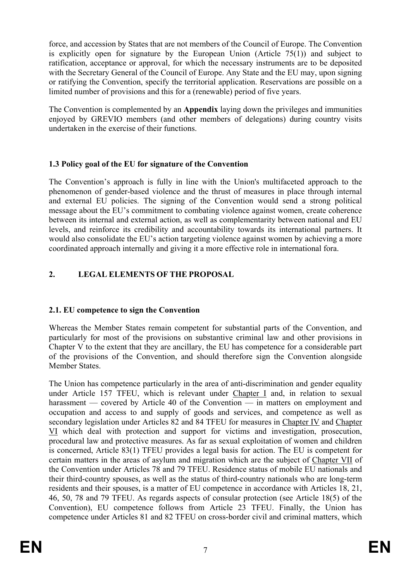force, and accession by States that are not members of the Council of Europe. The Convention is explicitly open for signature by the European Union (Article 75(1)) and subject to ratification, acceptance or approval, for which the necessary instruments are to be deposited with the Secretary General of the Council of Europe. Any State and the EU may, upon signing or ratifying the Convention, specify the territorial application. Reservations are possible on a limited number of provisions and this for a (renewable) period of five years.

The Convention is complemented by an **Appendix** laying down the privileges and immunities enjoyed by GREVIO members (and other members of delegations) during country visits undertaken in the exercise of their functions.

# **1.3 Policy goal of the EU for signature of the Convention**

The Convention's approach is fully in line with the Union's multifaceted approach to the phenomenon of gender-based violence and the thrust of measures in place through internal and external EU policies. The signing of the Convention would send a strong political message about the EU's commitment to combating violence against women, create coherence between its internal and external action, as well as complementarity between national and EU levels, and reinforce its credibility and accountability towards its international partners. It would also consolidate the EU's action targeting violence against women by achieving a more coordinated approach internally and giving it a more effective role in international fora.

# **2. LEGAL ELEMENTS OF THE PROPOSAL**

# **2.1. EU competence to sign the Convention**

Whereas the Member States remain competent for substantial parts of the Convention, and particularly for most of the provisions on substantive criminal law and other provisions in Chapter V to the extent that they are ancillary, the EU has competence for a considerable part of the provisions of the Convention, and should therefore sign the Convention alongside Member States.

The Union has competence particularly in the area of anti-discrimination and gender equality under Article 157 TFEU, which is relevant under Chapter I and, in relation to sexual harassment — covered by Article 40 of the Convention — in matters on employment and occupation and access to and supply of goods and services, and competence as well as secondary legislation under Articles 82 and 84 TFEU for measures in Chapter IV and Chapter VI which deal with protection and support for victims and investigation, prosecution, procedural law and protective measures. As far as sexual exploitation of women and children is concerned, Article 83(1) TFEU provides a legal basis for action. The EU is competent for certain matters in the areas of asylum and migration which are the subject of Chapter VII of the Convention under Articles 78 and 79 TFEU. Residence status of mobile EU nationals and their third-country spouses, as well as the status of third-country nationals who are long-term residents and their spouses, is a matter of EU competence in accordance with Articles 18, 21, 46, 50, 78 and 79 TFEU. As regards aspects of consular protection (see Article 18(5) of the Convention), EU competence follows from Article 23 TFEU. Finally, the Union has competence under Articles 81 and 82 TFEU on cross-border civil and criminal matters, which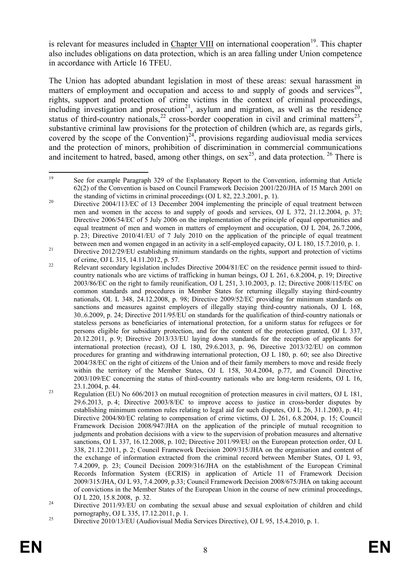is relevant for measures included in Chapter VIII on international cooperation<sup>19</sup>. This chapter also includes obligations on data protection, which is an area falling under Union competence in accordance with Article 16 TFEU.

The Union has adopted abundant legislation in most of these areas: sexual harassment in matters of employment and occupation and access to and supply of goods and services<sup>20</sup>, rights, support and protection of crime victims in the context of criminal proceedings, including investigation and prosecution<sup>[21](#page-8-2)</sup>, asylum and migration, as well as the residence status of third-country nationals,<sup>[22](#page-8-3)</sup> cross-border cooperation in civil and criminal matters<sup>23</sup>, substantive criminal law provisions for the protection of children (which are, as regards girls, covered by the scope of the Convention) $^{24}$  $^{24}$  $^{24}$ , provisions regarding audiovisual media services and the protection of minors, prohibition of discrimination in commercial communications and incitement to hatred, based, among other things, on sex<sup>25</sup>, and data protection. <sup>[26](#page-8-7)</sup> There is

<span id="page-8-0"></span><sup>&</sup>lt;sup>19</sup> See for example Paragraph 329 of the Explanatory Report to the Convention, informing that Article 62(2) of the Convention is based on Council Framework Decision 2001/220/JHA of 15 March 2001 on

<span id="page-8-1"></span>the standing of victims in criminal proceedings (OJ L 82, 22.3.2001, p. 1).<br><sup>20</sup> Directive 2004/113/EC of 13 December 2004 implementing the principle of equal treatment between men and women in the access to and supply of goods and services, OJ L 372, 21.12.2004, p. 37; Directive 2006/54/EC of 5 July 2006 on the implementation of the principle of equal opportunities and equal treatment of men and women in matters of employment and occupation, OJ L 204, 26.7.2006, p. 23; Directive 2010/41/EU of 7 July 2010 on the application of the principle of equal treatment between men and women engaged in an activity in a self-employed capacity, OJ L 180, 15.7.2010, p. 1.<br>Directive 2012/29/EU establishing minimum standards on the rights, support and protection of victims

<span id="page-8-3"></span><span id="page-8-2"></span>of crime, OJ L 315, 14.11.2012, p. 57.<br>Relevant secondary legislation includes Directive 2004/81/EC on the residence permit issued to thirdcountry nationals who are victims of trafficking in human beings, OJ L 261, 6.8.2004, p. 19; Directive 2003/86/EC on the right to family reunification, OJ L 251, 3.10.2003, p. 12; Directive 2008/115/EC on common standards and procedures in Member States for returning illegally staying third-country nationals, OL L 348, 24.12.2008, p. 98; Directive 2009/52/EC providing for minimum standards on sanctions and measures against employers of illegally staying third-country nationals, OJ L 168, 30..6.2009, p. 24; Directive 2011/95/EU on standards for the qualification of third-country nationals or stateless persons as beneficiaries of international protection, for a uniform status for refugees or for persons eligible for subsidiary protection, and for the content of the protection granted, OJ L 337, 20.12.2011, p. 9; Directive 2013/33/EU laying down standards for the reception of applicants for international protection (recast), OJ L 180, 29.6.2013, p. 96, Directive 2013/32/EU on common procedures for granting and withdrawing international protection, OJ L 180, p. 60; see also Directive 2004/38/EC on the right of citizens of the Union and of their family members to move and reside freely within the territory of the Member States, OJ L 158, 30.4.2004, p.77, and Council Directive 2003/109/EC concerning the status of third-country nationals who are long-term residents, OJ L 16, 23.1.2004, p. 44.<br>Regulation (EU) No 606/2013 on mutual recognition of protection measures in civil matters, OJ L 181,

<span id="page-8-7"></span><span id="page-8-4"></span><sup>29.6.2013,</sup> p. 4; Directive 2003/8/EC to improve access to justice in cross-border disputes by establishing minimum common rules relating to legal aid for such disputes, OJ L 26, 31.1.2003, p. 41; Directive 2004/80/EC relating to compensation of crime victims, OJ L 261, 6.8.2004, p. 15; Council Framework Decision 2008/947/JHA on the application of the principle of mutual recognition to judgments and probation decisions with a view to the supervision of probation measures and alternative sanctions, OJ L 337, 16.12.2008, p. 102; Directive 2011/99/EU on the European protection order, OJ L 338, 21.12.2011, p. 2; Council Framework Decision 2009/315/JHA on the organisation and content of the exchange of information extracted from the criminal record between Member States, OJ L 93, 7.4.2009, p. 23; Council Decision 2009/316/JHA on the establishment of the European Criminal Records Information System (ECRIS) in application of Article 11 of Framework Decision 2009/315/JHA, OJ L 93, 7.4.2009, p.33; Council Framework Decision 2008/675/JHA on taking account of convictions in the Member States of the European Union in the course of new criminal proceedings, OJ L 220, 15.8.2008, p. 32. <sup>24</sup> Directive 2011/93/EU on combating the sexual abuse and sexual exploitation of children and child

<span id="page-8-5"></span>pornography, OJ L 335, 17.12.2011, p. 1.<br><sup>25</sup> Directive 2010/13/EU (Audiovisual Media Services Directive), OJ L 95, 15.4.2010, p. 1.

<span id="page-8-6"></span>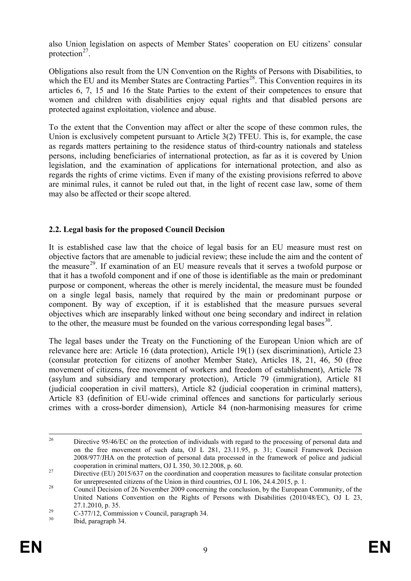also Union legislation on aspects of Member States' cooperation on EU citizens' consular protection $27$ .

Obligations also result from the UN Convention on the Rights of Persons with Disabilities, to which the EU and its Member States are Contracting Parties<sup>[28](#page-9-1)</sup>. This Convention requires in its articles 6, 7, 15 and 16 the State Parties to the extent of their competences to ensure that women and children with disabilities enjoy equal rights and that disabled persons are protected against exploitation, violence and abuse.

To the extent that the Convention may affect or alter the scope of these common rules, the Union is exclusively competent pursuant to Article 3(2) TFEU. This is, for example, the case as regards matters pertaining to the residence status of third-country nationals and stateless persons, including beneficiaries of international protection, as far as it is covered by Union legislation, and the examination of applications for international protection, and also as regards the rights of crime victims. Even if many of the existing provisions referred to above are minimal rules, it cannot be ruled out that, in the light of recent case law, some of them may also be affected or their scope altered.

## **2.2. Legal basis for the proposed Council Decision**

It is established case law that the choice of legal basis for an EU measure must rest on objective factors that are amenable to judicial review; these include the aim and the content of the measure<sup>[29](#page-9-2)</sup>. If examination of an EU measure reveals that it serves a twofold purpose or that it has a twofold component and if one of those is identifiable as the main or predominant purpose or component, whereas the other is merely incidental, the measure must be founded on a single legal basis, namely that required by the main or predominant purpose or component. By way of exception, if it is established that the measure pursues several objectives which are inseparably linked without one being secondary and indirect in relation to the other, the measure must be founded on the various corresponding legal bases<sup>30</sup>.

The legal bases under the Treaty on the Functioning of the European Union which are of relevance here are: Article 16 (data protection), Article 19(1) (sex discrimination), Article 23 (consular protection for citizens of another Member State), Articles 18, 21, 46, 50 (free movement of citizens, free movement of workers and freedom of establishment), Article 78 (asylum and subsidiary and temporary protection), Article 79 (immigration), Article 81 (judicial cooperation in civil matters), Article 82 (judicial cooperation in criminal matters), Article 83 (definition of EU-wide criminal offences and sanctions for particularly serious crimes with a cross-border dimension), Article 84 (non-harmonising measures for crime

<sup>&</sup>lt;sup>26</sup> Directive 95/46/EC on the protection of individuals with regard to the processing of personal data and on the free movement of such data, OJ L 281, 23.11.95, p. 31; Council Framework Decision 2008/977/JHA on the protection of personal data processed in the framework of police and judicial cooperation in criminal matters, OJ L 350, 30.12.2008, p. 60.

<span id="page-9-0"></span>The procedure in criminal matters,  $\sigma$  and  $\sigma$  and  $\sigma$  are set of the coordination and cooperation measures to facilitate consular protection for unrepresented citizens of the Union in third countries, OJ L 106, 24.4.2

<span id="page-9-1"></span><sup>&</sup>lt;sup>28</sup> Council Decision of 26 November 2009 concerning the conclusion, by the European Community, of the United Nations Convention on the Rights of Persons with Disabilities (2010/48/EC), OJ L 23,

<span id="page-9-2"></span><sup>27.1.2010,</sup> p. 35.<br>
29 C-377/12, Commission v Council, paragraph 34.<br>
30 Ibid, paragraph 34.

<span id="page-9-3"></span>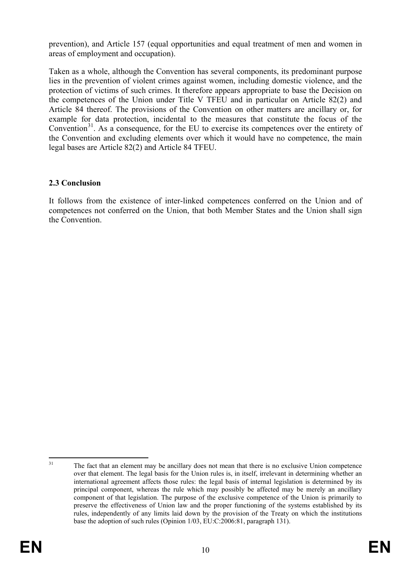prevention), and Article 157 (equal opportunities and equal treatment of men and women in areas of employment and occupation).

Taken as a whole, although the Convention has several components, its predominant purpose lies in the prevention of violent crimes against women, including domestic violence, and the protection of victims of such crimes. It therefore appears appropriate to base the Decision on the competences of the Union under Title V TFEU and in particular on Article 82(2) and Article 84 thereof. The provisions of the Convention on other matters are ancillary or, for example for data protection, incidental to the measures that constitute the focus of the Convention<sup>[31](#page-10-0)</sup>. As a consequence, for the EU to exercise its competences over the entirety of the Convention and excluding elements over which it would have no competence, the main legal bases are Article 82(2) and Article 84 TFEU.

## **2.3 Conclusion**

It follows from the existence of inter-linked competences conferred on the Union and of competences not conferred on the Union, that both Member States and the Union shall sign the Convention.

<span id="page-10-0"></span><sup>&</sup>lt;sup>31</sup> The fact that an element may be ancillary does not mean that there is no exclusive Union competence over that element. The legal basis for the Union rules is, in itself, irrelevant in determining whether an international agreement affects those rules: the legal basis of internal legislation is determined by its principal component, whereas the rule which may possibly be affected may be merely an ancillary component of that legislation. The purpose of the exclusive competence of the Union is primarily to preserve the effectiveness of Union law and the proper functioning of the systems established by its rules, independently of any limits laid down by the provision of the Treaty on which the institutions base the adoption of such rules (Opinion 1/03, EU:C:2006:81, paragraph 131).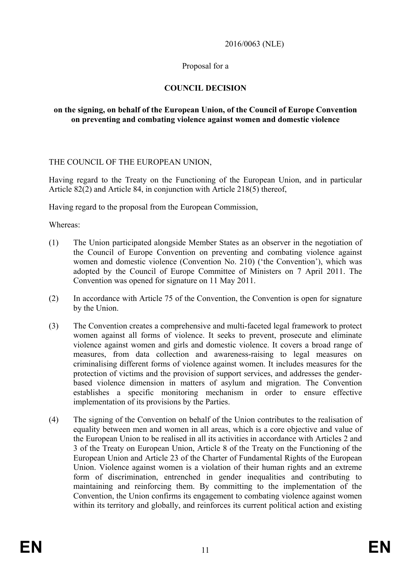#### 2016/0063 (NLE)

## Proposal for a

## **COUNCIL DECISION**

#### **on the signing, on behalf of the European Union, of the Council of Europe Convention on preventing and combating violence against women and domestic violence**

#### THE COUNCIL OF THE EUROPEAN UNION,

Having regard to the Treaty on the Functioning of the European Union, and in particular Article 82(2) and Article 84, in conjunction with Article 218(5) thereof,

Having regard to the proposal from the European Commission,

Whereas:

- (1) The Union participated alongside Member States as an observer in the negotiation of the Council of Europe Convention on preventing and combating violence against women and domestic violence (Convention No. 210) ('the Convention'), which was adopted by the Council of Europe Committee of Ministers on 7 April 2011. The Convention was opened for signature on 11 May 2011.
- (2) In accordance with Article 75 of the Convention, the Convention is open for signature by the Union.
- (3) The Convention creates a comprehensive and multi-faceted legal framework to protect women against all forms of violence. It seeks to prevent, prosecute and eliminate violence against women and girls and domestic violence. It covers a broad range of measures, from data collection and awareness-raising to legal measures on criminalising different forms of violence against women. It includes measures for the protection of victims and the provision of support services, and addresses the genderbased violence dimension in matters of asylum and migration. The Convention establishes a specific monitoring mechanism in order to ensure effective implementation of its provisions by the Parties.
- (4) The signing of the Convention on behalf of the Union contributes to the realisation of equality between men and women in all areas, which is a core objective and value of the European Union to be realised in all its activities in accordance with Articles 2 and 3 of the Treaty on European Union, Article 8 of the Treaty on the Functioning of the European Union and Article 23 of the Charter of Fundamental Rights of the European Union. Violence against women is a violation of their human rights and an extreme form of discrimination, entrenched in gender inequalities and contributing to maintaining and reinforcing them. By committing to the implementation of the Convention, the Union confirms its engagement to combating violence against women within its territory and globally, and reinforces its current political action and existing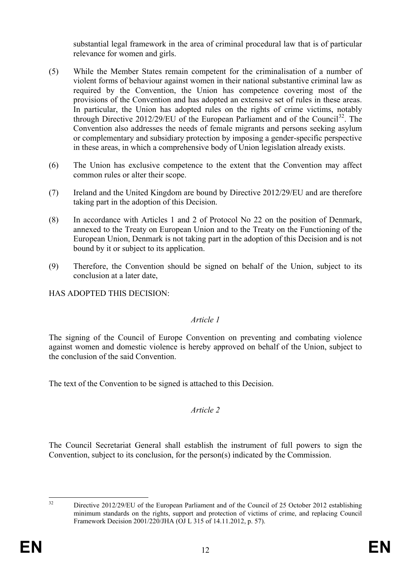substantial legal framework in the area of criminal procedural law that is of particular relevance for women and girls.

- (5) While the Member States remain competent for the criminalisation of a number of violent forms of behaviour against women in their national substantive criminal law as required by the Convention, the Union has competence covering most of the provisions of the Convention and has adopted an extensive set of rules in these areas. In particular, the Union has adopted rules on the rights of crime victims, notably through Directive 2012/29/EU of the European Parliament and of the Council<sup>32</sup>. The Convention also addresses the needs of female migrants and persons seeking asylum or complementary and subsidiary protection by imposing a gender-specific perspective in these areas, in which a comprehensive body of Union legislation already exists.
- (6) The Union has exclusive competence to the extent that the Convention may affect common rules or alter their scope.
- (7) Ireland and the United Kingdom are bound by Directive 2012/29/EU and are therefore taking part in the adoption of this Decision.
- (8) In accordance with Articles 1 and 2 of Protocol No 22 on the position of Denmark, annexed to the Treaty on European Union and to the Treaty on the Functioning of the European Union, Denmark is not taking part in the adoption of this Decision and is not bound by it or subject to its application.
- (9) Therefore, the Convention should be signed on behalf of the Union, subject to its conclusion at a later date,

HAS ADOPTED THIS DECISION:

## *Article 1*

The signing of the Council of Europe Convention on preventing and combating violence against women and domestic violence is hereby approved on behalf of the Union, subject to the conclusion of the said Convention.

The text of the Convention to be signed is attached to this Decision.

## *Article 2*

The Council Secretariat General shall establish the instrument of full powers to sign the Convention, subject to its conclusion, for the person(s) indicated by the Commission.

<span id="page-12-0"></span>

<sup>&</sup>lt;sup>32</sup> Directive 2012/29/EU of the European Parliament and of the Council of 25 October 2012 establishing minimum standards on the rights, support and protection of victims of crime, and replacing Council Framework Decision 2001/220/JHA (OJ L 315 of 14.11.2012, p. 57).